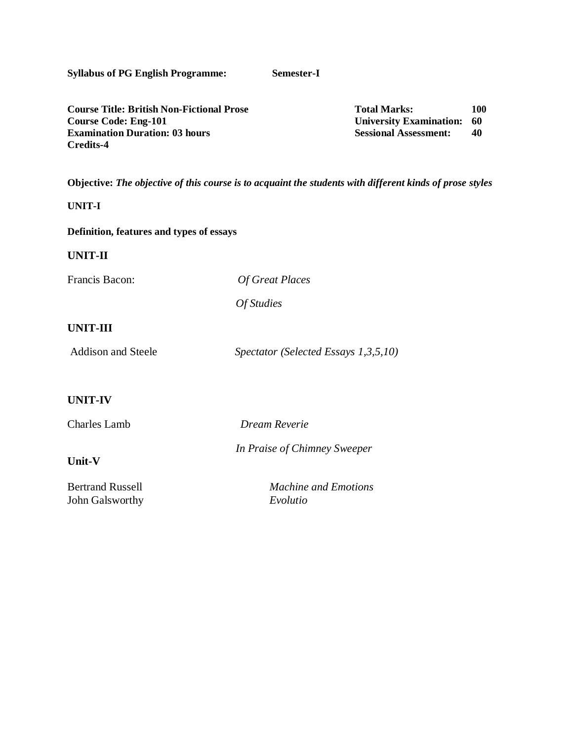| <b>Syllabus of PG English Programme:</b>                                                                                                     | Semester-I                           |                                                                                       |                 |
|----------------------------------------------------------------------------------------------------------------------------------------------|--------------------------------------|---------------------------------------------------------------------------------------|-----------------|
| <b>Course Title: British Non-Fictional Prose</b><br><b>Course Code: Eng-101</b><br><b>Examination Duration: 03 hours</b><br><b>Credits-4</b> |                                      | <b>Total Marks:</b><br><b>University Examination:</b><br><b>Sessional Assessment:</b> | 100<br>60<br>40 |
| Objective: The objective of this course is to acquaint the students with different kinds of prose styles                                     |                                      |                                                                                       |                 |
| <b>UNIT-I</b>                                                                                                                                |                                      |                                                                                       |                 |
| Definition, features and types of essays                                                                                                     |                                      |                                                                                       |                 |
| <b>UNIT-II</b>                                                                                                                               |                                      |                                                                                       |                 |
| Francis Bacon:                                                                                                                               | <b>Of Great Places</b>               |                                                                                       |                 |
|                                                                                                                                              | Of Studies                           |                                                                                       |                 |
| <b>UNIT-III</b>                                                                                                                              |                                      |                                                                                       |                 |
| <b>Addison and Steele</b>                                                                                                                    | Spectator (Selected Essays 1,3,5,10) |                                                                                       |                 |
|                                                                                                                                              |                                      |                                                                                       |                 |
| <b>UNIT-IV</b>                                                                                                                               |                                      |                                                                                       |                 |
| <b>Charles Lamb</b>                                                                                                                          | Dream Reverie                        |                                                                                       |                 |
| Unit-V                                                                                                                                       | In Praise of Chimney Sweeper         |                                                                                       |                 |
| <b>Bertrand Russell</b>                                                                                                                      | <b>Machine and Emotions</b>          |                                                                                       |                 |
| John Galsworthy                                                                                                                              | Evolutio                             |                                                                                       |                 |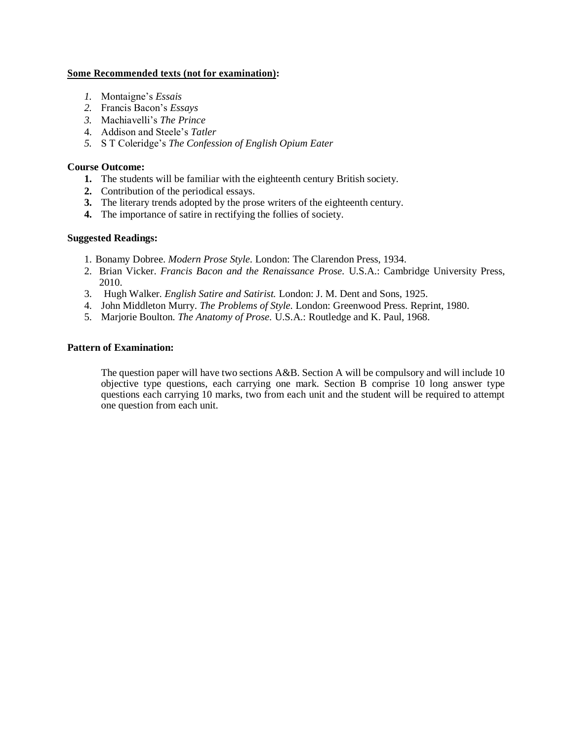## **Some Recommended texts (not for examination):**

- *1.* Montaigne's *Essais*
- *2.* Francis Bacon's *Essays*
- *3.* Machiavelli's *The Prince*
- 4. Addison and Steele's *Tatler*
- *5.* S T Coleridge's *The Confession of English Opium Eater*

## **Course Outcome:**

- **1.** The students will be familiar with the eighteenth century British society.
- **2.** Contribution of the periodical essays.
- **3.** The literary trends adopted by the prose writers of the eighteenth century.
- **4.** The importance of satire in rectifying the follies of society.

## **Suggested Readings:**

- 1. Bonamy Dobree. *Modern Prose Style.* London: The Clarendon Press, 1934.
- 2. Brian Vicker. *Francis Bacon and the Renaissance Prose.* U.S.A.: Cambridge University Press, 2010.
- 3. Hugh Walker*. English Satire and Satirist.* London: J. M. Dent and Sons, 1925.
- 4. John Middleton Murry. *The Problems of Style.* London: Greenwood Press. Reprint, 1980.
- 5. Marjorie Boulton. *The Anatomy of Prose.* U.S.A.: Routledge and K. Paul, 1968.

#### **Pattern of Examination:**

The question paper will have two sections  $A&B$ . Section A will be compulsory and will include 10 objective type questions, each carrying one mark. Section B comprise 10 long answer type questions each carrying 10 marks, two from each unit and the student will be required to attempt one question from each unit.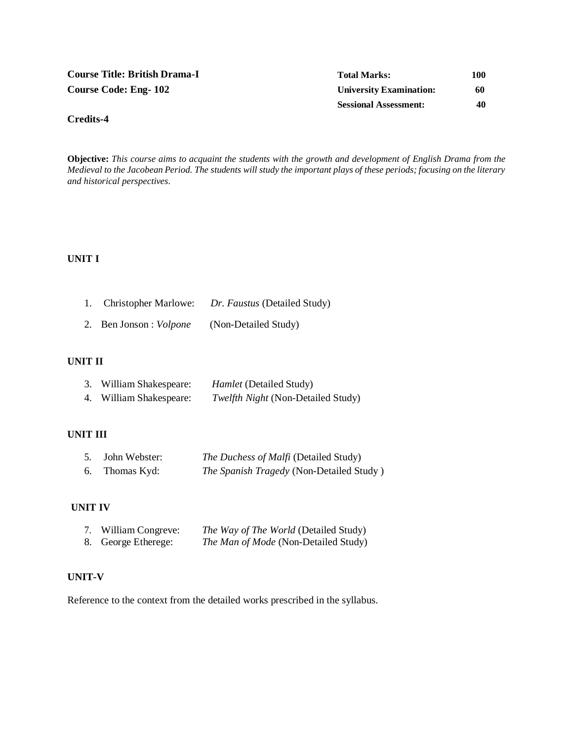| <b>Course Title: British Drama-I</b> | <b>Total Marks:</b>            | 100 |
|--------------------------------------|--------------------------------|-----|
| <b>Course Code: Eng-102</b>          | <b>University Examination:</b> | 60  |
|                                      | <b>Sessional Assessment:</b>   | 40  |

**Objective:** *This course aims to acquaint the students with the growth and development of English Drama from the Medieval to the Jacobean Period. The students will study the important plays of these periods; focusing on the literary and historical perspectives.*

## **UNIT I**

**Credits-4**

| <b>Christopher Marlowe:</b> | Dr. Faustus (Detailed Study) |
|-----------------------------|------------------------------|
|-----------------------------|------------------------------|

2. Ben Jonson : *Volpone* (Non-Detailed Study)

# **UNIT II**

|    | William Shakespeare: | <i>Hamlet</i> (Detailed Study)            |
|----|----------------------|-------------------------------------------|
| 4. | William Shakespeare: | <i>Twelfth Night</i> (Non-Detailed Study) |

## **UNIT III**

|    | 5. John Webster: | The Duchess of Malfi (Detailed Study)    |
|----|------------------|------------------------------------------|
| 6. | Thomas Kyd:      | The Spanish Tragedy (Non-Detailed Study) |

#### **UNIT IV**

| 7. William Congreve: | <i>The Way of The World</i> (Detailed Study) |
|----------------------|----------------------------------------------|
| 8. George Etherege:  | <i>The Man of Mode</i> (Non-Detailed Study)  |

# **UNIT-V**

Reference to the context from the detailed works prescribed in the syllabus.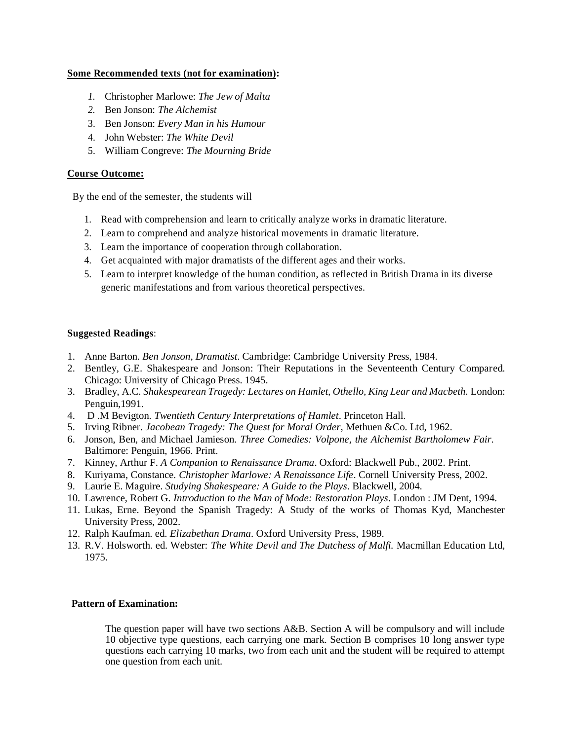## **Some Recommended texts (not for examination):**

- *1.* Christopher Marlowe: *The Jew of Malta*
- *2.* Ben Jonson: *The Alchemist*
- 3. Ben Jonson: *Every Man in his Humour*
- 4. John Webster: *The White Devil*
- 5. William Congreve: *The Mourning Bride*

## **Course Outcome:**

By the end of the semester, the students will

- 1. Read with comprehension and learn to critically analyze works in dramatic literature.
- 2. Learn to comprehend and analyze historical movements in dramatic literature.
- 3. Learn the importance of cooperation through collaboration.
- 4. Get acquainted with major dramatists of the different ages and their works.
- 5. Learn to interpret knowledge of the human condition, as reflected in British Drama in its diverse generic manifestations and from various theoretical perspectives.

## **Suggested Readings**:

- 1. Anne Barton. *Ben Jonson, Dramatist*. Cambridge: Cambridge University Press, 1984.
- 2. Bentley, G.E. Shakespeare and Jonson: Their Reputations in the Seventeenth Century Compared. Chicago: University of Chicago Press. 1945.
- 3. Bradley, A.C. *Shakespearean Tragedy: Lectures on Hamlet, Othello, King Lear and Macbeth.* London: Penguin,1991.
- 4. D .M Bevigton. *Twentieth Century Interpretations of Hamlet*. Princeton Hall.
- 5. Irving Ribner. *Jacobean Tragedy: The Quest for Moral Order*, Methuen &Co. Ltd, 1962.
- 6. Jonson, Ben, and Michael Jamieson. *Three Comedies: Volpone, the Alchemist Bartholomew Fair*. Baltimore: Penguin, 1966. Print.
- 7. Kinney, Arthur F. *A Companion to Renaissance Drama*. Oxford: Blackwell Pub., 2002. Print.
- 8. Kuriyama, Constance. *Christopher Marlowe: A Renaissance Life*. Cornell University Press, 2002.
- 9. Laurie E. Maguire. *Studying Shakespeare: A Guide to the Plays*. Blackwell, 2004.
- 10. Lawrence, Robert G. *Introduction to the Man of Mode: Restoration Plays*. London : JM Dent, 1994.
- 11. Lukas, Erne. Beyond the Spanish Tragedy: A Study of the works of Thomas Kyd, Manchester University Press, 2002.
- 12. Ralph Kaufman. ed. *Elizabethan Drama*. Oxford University Press, 1989.
- 13. R.V. Holsworth. ed. Webster: *The White Devil and The Dutchess of Malfi.* Macmillan Education Ltd, 1975.

## **Pattern of Examination:**

The question paper will have two sections A&B. Section A will be compulsory and will include 10 objective type questions, each carrying one mark. Section B comprises 10 long answer type questions each carrying 10 marks, two from each unit and the student will be required to attempt one question from each unit.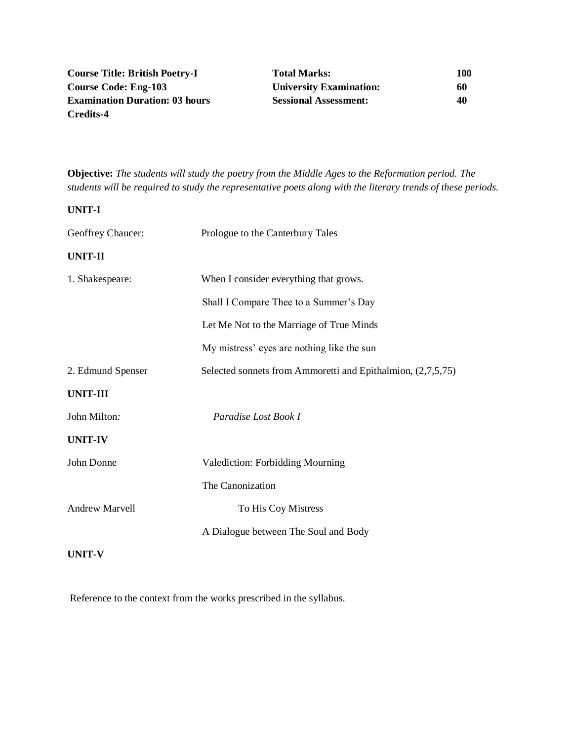| <b>Course Title: British Poetry-I</b> | <b>Total Marks:</b>            | 100 |
|---------------------------------------|--------------------------------|-----|
| Course Code: Eng-103                  | <b>University Examination:</b> | 60  |
| <b>Examination Duration: 03 hours</b> | <b>Sessional Assessment:</b>   | 40  |
| Credits-4                             |                                |     |

**Objective:** *The students will study the poetry from the Middle Ages to the Reformation period. The students will be required to study the representative poets along with the literary trends of these periods.*

**UNIT-I**

| Geoffrey Chaucer:     | Prologue to the Canterbury Tales                            |  |
|-----------------------|-------------------------------------------------------------|--|
| <b>UNIT-II</b>        |                                                             |  |
| 1. Shakespeare:       | When I consider everything that grows.                      |  |
|                       | Shall I Compare Thee to a Summer's Day                      |  |
|                       | Let Me Not to the Marriage of True Minds                    |  |
|                       | My mistress' eyes are nothing like the sun                  |  |
| 2. Edmund Spenser     | Selected sonnets from Ammoretti and Epithalmion, (2,7,5,75) |  |
| <b>UNIT-III</b>       |                                                             |  |
| John Milton:          | Paradise Lost Book I                                        |  |
| <b>UNIT-IV</b>        |                                                             |  |
| John Donne            | Valediction: Forbidding Mourning                            |  |
|                       | The Canonization                                            |  |
| <b>Andrew Marvell</b> | To His Coy Mistress                                         |  |
|                       | A Dialogue between The Soul and Body                        |  |
| <b>UNIT-V</b>         |                                                             |  |

Reference to the context from the works prescribed in the syllabus.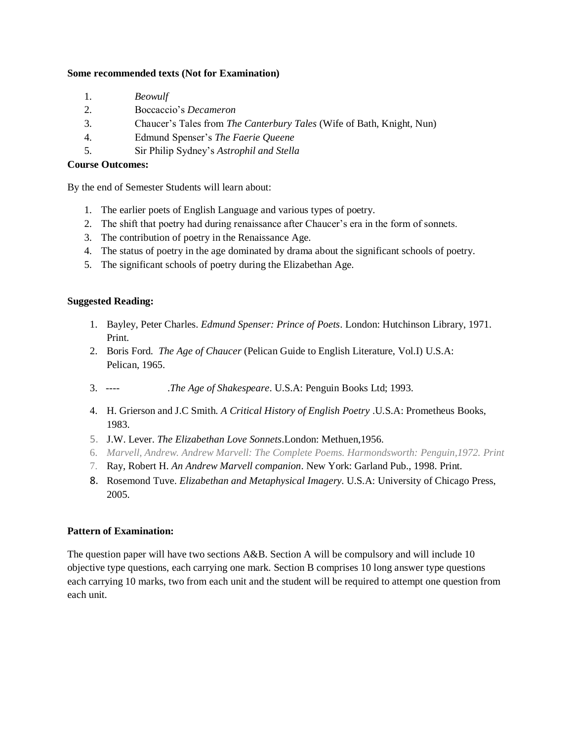## **Some recommended texts (Not for Examination)**

- 1. *Beowulf*
- 2. Boccaccio's *Decameron*
- 3. Chaucer's Tales from *The Canterbury Tales* (Wife of Bath, Knight, Nun)
- 4. Edmund Spenser's *The Faerie Queene*
- 5. Sir Philip Sydney's *Astrophil and Stella*

# **Course Outcomes:**

By the end of Semester Students will learn about:

- 1. The earlier poets of English Language and various types of poetry.
- 2. The shift that poetry had during renaissance after Chaucer's era in the form of sonnets.
- 3. The contribution of poetry in the Renaissance Age.
- 4. The status of poetry in the age dominated by drama about the significant schools of poetry.
- 5. The significant schools of poetry during the Elizabethan Age.

## **Suggested Reading:**

- 1. Bayley, Peter Charles. *Edmund Spenser: Prince of Poets*. London: Hutchinson Library, 1971. Print.
- 2. Boris Ford. *The Age of Chaucer* (Pelican Guide to English Literature, Vol.I) U.S.A: Pelican, 1965.
- 3. ---- .*The Age of Shakespeare*. U.S.A: Penguin Books Ltd; 1993.
- 4. H. Grierson and J.C Smith. *A Critical History of English Poetry* .U.S.A: Prometheus Books, 1983.
- 5. J.W. Lever. *The Elizabethan Love Sonnets*.London: Methuen,1956.
- 6. *Marvell, Andrew. Andrew Marvell: The Complete Poems. Harmondsworth: Penguin,1972. Print*
- 7. Ray, Robert H. *An Andrew Marvell companion*. New York: Garland Pub., 1998. Print.
- 8. Rosemond Tuve. *Elizabethan and Metaphysical Imagery.* U.S.A: University of Chicago Press, 2005.

## **Pattern of Examination:**

The question paper will have two sections A&B. Section A will be compulsory and will include 10 objective type questions, each carrying one mark. Section B comprises 10 long answer type questions each carrying 10 marks, two from each unit and the student will be required to attempt one question from each unit.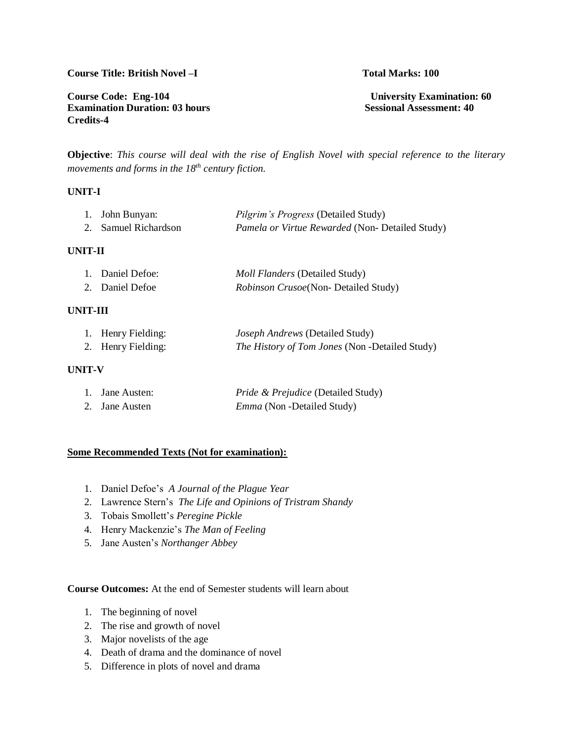## **Course Title: British Novel –I Total Marks: 100**

**Course Code: Eng-104** University Examination: 60<br> **Examination Duration: 03 hours** Sessional Assessment: 40 **Examination Duration: 03 hours Credits-4**

**Objective**: *This course will deal with the rise of English Novel with special reference to the literary movements and forms in the 18th century fiction.*

## **UNIT-I**

| 1. John Bunyan:      | <i>Pilgrim's Progress</i> (Detailed Study)             |
|----------------------|--------------------------------------------------------|
| 2. Samuel Richardson | <i>Pamela or Virtue Rewarded</i> (Non- Detailed Study) |

## **UNIT-II**

| 1. Daniel Defoe: | <i>Moll Flanders</i> (Detailed Study)        |
|------------------|----------------------------------------------|
| 2. Daniel Defoe  | <i>Robinson Crusoe</i> (Non- Detailed Study) |

## **UNIT-III**

| 1. Henry Fielding: | <i>Joseph Andrews</i> (Detailed Study)                |
|--------------------|-------------------------------------------------------|
| 2. Henry Fielding: | <i>The History of Tom Jones</i> (Non -Detailed Study) |

## **UNIT-V**

| 1. Jane Austen: | <i>Pride &amp; Prejudice</i> (Detailed Study) |
|-----------------|-----------------------------------------------|
| 2. Jane Austen  | <i>Emma</i> (Non - Detailed Study)            |

## **Some Recommended Texts (Not for examination):**

- 1. Daniel Defoe's *A Journal of the Plague Year*
- 2. Lawrence Stern's *The Life and Opinions of Tristram Shandy*
- 3. Tobais Smollett's *Peregine Pickle*
- 4. Henry Mackenzie's *The Man of Feeling*
- 5. Jane Austen's *Northanger Abbey*

**Course Outcomes:** At the end of Semester students will learn about

- 1. The beginning of novel
- 2. The rise and growth of novel
- 3. Major novelists of the age
- 4. Death of drama and the dominance of novel
- 5. Difference in plots of novel and drama